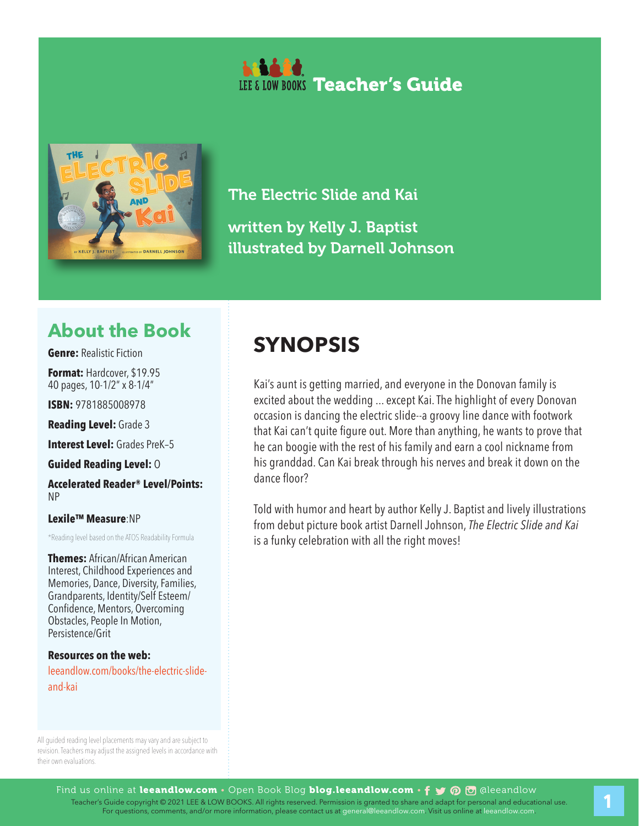



The Electric Slide and Kai

written by Kelly J. Baptist illustrated by Darnell Johnson

## **About the Book**

**Genre:** Realistic Fiction

**Format:** Hardcover, \$19.95 40 pages, 10-1/2" x 8-1/4"

**ISBN:** 9781885008978

**Reading Level:** Grade 3

**Interest Level: Grades PreK-5** 

**Guided Reading Level:** O

**Accelerated Reader® Level/Points:**  NP

**Lexile™ Measure**:NP

\*Reading level based on the ATOS Readability Formula

**Themes:** African/African American Interest, Childhood Experiences and Memories, Dance, Diversity, Families, Grandparents, Identity/Self Esteem/ Confidence, Mentors, Overcoming Obstacles, People In Motion, Persistence/Grit

**Resources on the web:**  leeandlow.com/books/the-electric-slideand-kai

All guided reading level placements may vary and are subject to revision. Teachers may adjust the assigned levels in accordance with their own evaluations.

## **SYNOPSIS**

Kai's aunt is getting married, and everyone in the Donovan family is excited about the wedding ... except Kai. The highlight of every Donovan occasion is dancing the electric slide--a groovy line dance with footwork that Kai can't quite figure out. More than anything, he wants to prove that he can boogie with the rest of his family and earn a cool nickname from his granddad. Can Kai break through his nerves and break it down on the dance floor?

Told with humor and heart by author Kelly J. Baptist and lively illustrations from debut picture book artist Darnell Johnson, *The Electric Slide and Kai* is a funky celebration with all the right moves!

1. Teacher's Guide copyright © 2021 LEE & LOW BOOKS. All rights reserved. Permission is granted to share and adapt for personal and educational use.<br>For questions, comments, and/or more information, please contact us at ge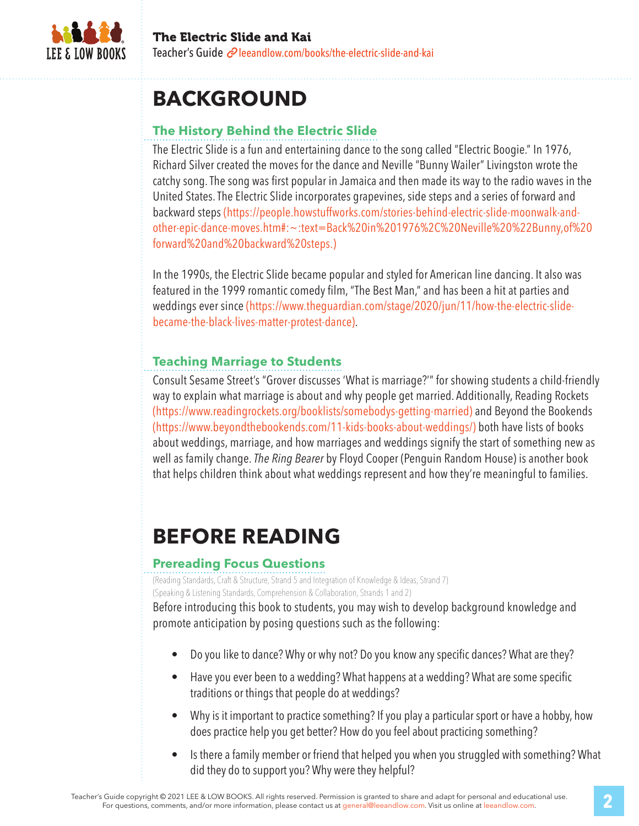

# **BACKGROUND**

## **The History Behind the Electric Slide**

The Electric Slide is a fun and entertaining dance to the song called "Electric Boogie." In 1976, Richard Silver created the moves for the dance and Neville "Bunny Wailer" Livingston wrote the catchy song. The song was first popular in Jamaica and then made its way to the radio waves in the United States. The Electric Slide incorporates grapevines, side steps and a series of forward and backward steps (https://people.howstuffworks.com/stories-behind-electric-slide-moonwalk-andother-epic-dance-moves.htm#:~:text=Back%20in%201976%2C%20Neville%20%22Bunny,of%20 forward%20and%20backward%20steps.)

In the 1990s, the Electric Slide became popular and styled for American line dancing. It also was featured in the 1999 romantic comedy film, "The Best Man," and has been a hit at parties and weddings ever since (https://www.theguardian.com/stage/2020/jun/11/how-the-electric-slidebecame-the-black-lives-matter-protest-dance).

### **Teaching Marriage to Students**

Consult Sesame Street's "Grover discusses 'What is marriage?'" for showing students a child-friendly way to explain what marriage is about and why people get married. Additionally, Reading Rockets (https://www.readingrockets.org/booklists/somebodys-getting-married) and Beyond the Bookends (https://www.beyondthebookends.com/11-kids-books-about-weddings/) both have lists of books about weddings, marriage, and how marriages and weddings signify the start of something new as well as family change. *The Ring Bearer* by Floyd Cooper (Penguin Random House) is another book that helps children think about what weddings represent and how they're meaningful to families.

# **BEFORE READING**

#### **Prereading Focus Questions**

(Reading Standards, Craft & Structure, Strand 5 and Integration of Knowledge & Ideas, Strand 7) (Speaking & Listening Standards, Comprehension & Collaboration, Strands 1 and 2)

Before introducing this book to students, you may wish to develop background knowledge and promote anticipation by posing questions such as the following:

- Do you like to dance? Why or why not? Do you know any specific dances? What are they?
- Have you ever been to a wedding? What happens at a wedding? What are some specific traditions or things that people do at weddings?
- Why is it important to practice something? If you play a particular sport or have a hobby, how does practice help you get better? How do you feel about practicing something?
- Is there a family member or friend that helped you when you struggled with something? What did they do to support you? Why were they helpful?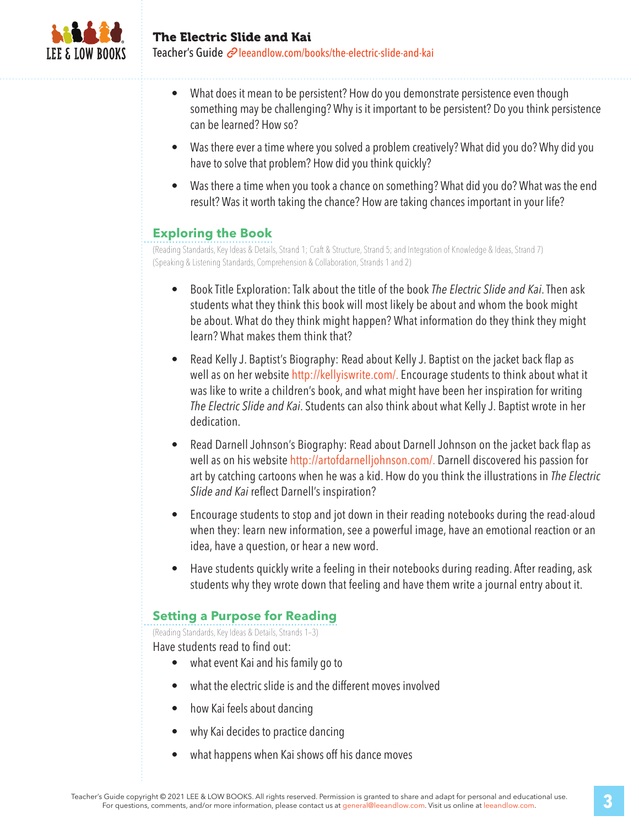

- What does it mean to be persistent? How do you demonstrate persistence even though something may be challenging? Why is it important to be persistent? Do you think persistence can be learned? How so?
- Was there ever a time where you solved a problem creatively? What did you do? Why did you have to solve that problem? How did you think quickly?
- Was there a time when you took a chance on something? What did you do? What was the end result? Was it worth taking the chance? How are taking chances important in your life?

#### **Exploring the Book**

(Reading Standards, Key Ideas & Details, Strand 1; Craft & Structure, Strand 5; and Integration of Knowledge & Ideas, Strand 7) (Speaking & Listening Standards, Comprehension & Collaboration, Strands 1 and 2)

- Book Title Exploration: Talk about the title of the book *The Electric Slide and Kai*. Then ask students what they think this book will most likely be about and whom the book might be about. What do they think might happen? What information do they think they might learn? What makes them think that?
- Read Kelly J. Baptist's Biography: Read about Kelly J. Baptist on the jacket back flap as well as on her website http://kellyiswrite.com/. Encourage students to think about what it was like to write a children's book, and what might have been her inspiration for writing *The Electric Slide and Kai*. Students can also think about what Kelly J. Baptist wrote in her dedication.
- Read Darnell Johnson's Biography: Read about Darnell Johnson on the jacket back flap as well as on his website http://artofdarnelljohnson.com/. Darnell discovered his passion for art by catching cartoons when he was a kid. How do you think the illustrations in *The Electric Slide and Kai* reflect Darnell's inspiration?
- Encourage students to stop and jot down in their reading notebooks during the read-aloud when they: learn new information, see a powerful image, have an emotional reaction or an idea, have a question, or hear a new word.
- Have students quickly write a feeling in their notebooks during reading. After reading, ask students why they wrote down that feeling and have them write a journal entry about it.

#### **Setting a Purpose for Reading**

(Reading Standards, Key Ideas & Details, Strands 1–3)

Have students read to find out:

- what event Kai and his family go to
- what the electric slide is and the different moves involved
- how Kai feels about dancing
- why Kai decides to practice dancing
- what happens when Kai shows off his dance moves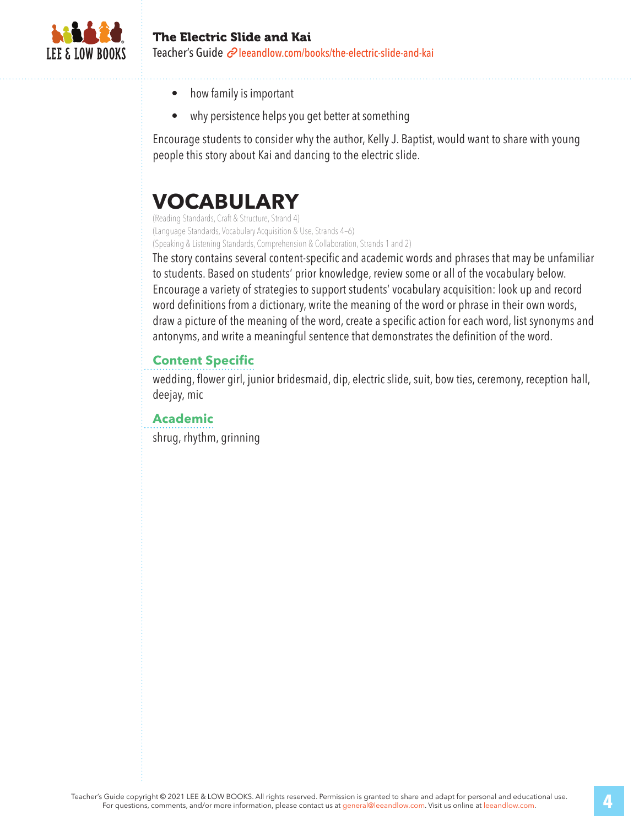

#### The Electric Slide and Kai Teacher's Guide  $\mathcal{O}$  leeandlow.com/books/the-electric-slide-and-kai

- how family is important
- why persistence helps you get better at something

Encourage students to consider why the author, Kelly J. Baptist, would want to share with young people this story about Kai and dancing to the electric slide.

## **VOCABULARY**

(Reading Standards, Craft & Structure, Strand 4) (Language Standards, Vocabulary Acquisition & Use, Strands 4–6) (Speaking & Listening Standards, Comprehension & Collaboration, Strands 1 and 2)

The story contains several content-specific and academic words and phrases that may be unfamiliar to students. Based on students' prior knowledge, review some or all of the vocabulary below. Encourage a variety of strategies to support students' vocabulary acquisition: look up and record word definitions from a dictionary, write the meaning of the word or phrase in their own words, draw a picture of the meaning of the word, create a specific action for each word, list synonyms and antonyms, and write a meaningful sentence that demonstrates the definition of the word.

#### **Content Specific**

wedding, flower girl, junior bridesmaid, dip, electric slide, suit, bow ties, ceremony, reception hall, deejay, mic

#### **Academic**

shrug, rhythm, grinning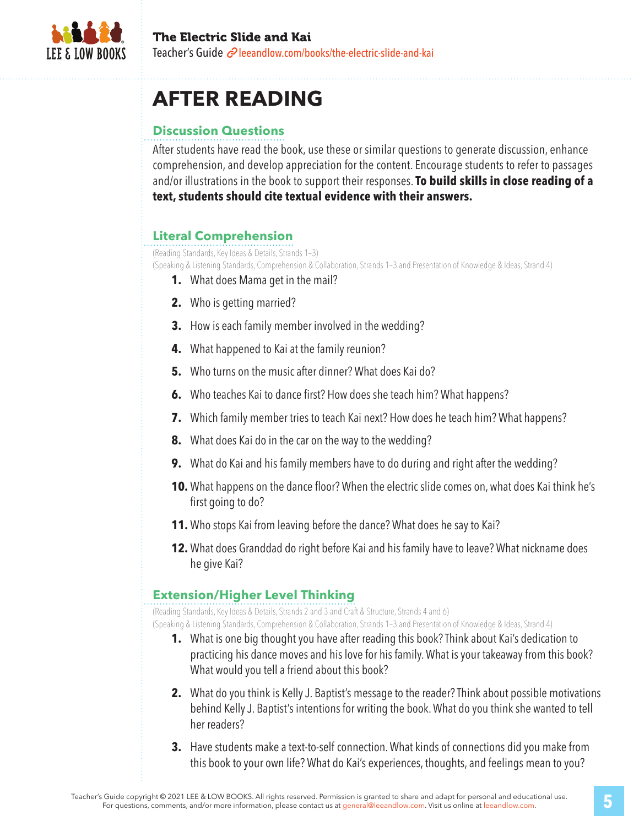

# **AFTER READING**

### **Discussion Questions**

After students have read the book, use these or similar questions to generate discussion, enhance comprehension, and develop appreciation for the content. Encourage students to refer to passages and/or illustrations in the book to support their responses. **To build skills in close reading of a text, students should cite textual evidence with their answers.**

### **Literal Comprehension**

(Reading Standards, Key Ideas & Details, Strands 1–3)

(Speaking & Listening Standards, Comprehension & Collaboration, Strands 1–3 and Presentation of Knowledge & Ideas, Strand 4)

- **1.** What does Mama get in the mail?
- **2.** Who is getting married?
- **3.** How is each family member involved in the wedding?
- **4.** What happened to Kai at the family reunion?
- **5.** Who turns on the music after dinner? What does Kai do?
- **6.** Who teaches Kai to dance first? How does she teach him? What happens?
- **7.** Which family member tries to teach Kai next? How does he teach him? What happens?
- **8.** What does Kai do in the car on the way to the wedding?
- **9.** What do Kai and his family members have to do during and right after the wedding?
- **10.** What happens on the dance floor? When the electric slide comes on, what does Kai think he's first going to do?
- **11.** Who stops Kai from leaving before the dance? What does he say to Kai?
- **12.** What does Granddad do right before Kai and his family have to leave? What nickname does he give Kai?

#### **Extension/Higher Level Thinking**

(Reading Standards, Key Ideas & Details, Strands 2 and 3 and Craft & Structure, Strands 4 and 6) (Speaking & Listening Standards, Comprehension & Collaboration, Strands 1–3 and Presentation of Knowledge & Ideas, Strand 4)

- **1.** What is one big thought you have after reading this book? Think about Kai's dedication to practicing his dance moves and his love for his family. What is your takeaway from this book? What would you tell a friend about this book?
- **2.** What do you think is Kelly J. Baptist's message to the reader? Think about possible motivations behind Kelly J. Baptist's intentions for writing the book. What do you think she wanted to tell her readers?
- **3.** Have students make a text-to-self connection. What kinds of connections did you make from this book to your own life? What do Kai's experiences, thoughts, and feelings mean to you?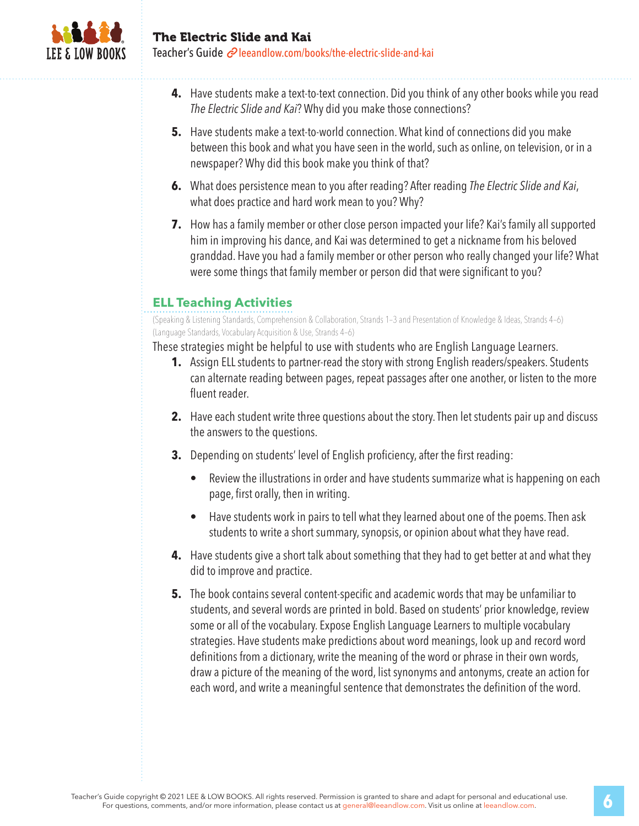

- **4.** Have students make a text-to-text connection. Did you think of any other books while you read *The Electric Slide and Kai*? Why did you make those connections?
- **5.** Have students make a text-to-world connection. What kind of connections did you make between this book and what you have seen in the world, such as online, on television, or in a newspaper? Why did this book make you think of that?
- **6.** What does persistence mean to you after reading? After reading *The Electric Slide and Kai*, what does practice and hard work mean to you? Why?
- **7.** How has a family member or other close person impacted your life? Kai's family all supported him in improving his dance, and Kai was determined to get a nickname from his beloved granddad. Have you had a family member or other person who really changed your life? What were some things that family member or person did that were significant to you?

## **ELL Teaching Activities**

(Speaking & Listening Standards, Comprehension & Collaboration, Strands 1–3 and Presentation of Knowledge & Ideas, Strands 4–6) (Language Standards, Vocabulary Acquisition & Use, Strands 4–6)

These strategies might be helpful to use with students who are English Language Learners.

- **1.** Assign ELL students to partner-read the story with strong English readers/speakers. Students can alternate reading between pages, repeat passages after one another, or listen to the more fluent reader.
- **2.** Have each student write three questions about the story. Then let students pair up and discuss the answers to the questions.
- **3.** Depending on students' level of English proficiency, after the first reading:
	- Review the illustrations in order and have students summarize what is happening on each page, first orally, then in writing.
	- Have students work in pairs to tell what they learned about one of the poems. Then ask students to write a short summary, synopsis, or opinion about what they have read.
- **4.** Have students give a short talk about something that they had to get better at and what they did to improve and practice.
- **5.** The book contains several content-specific and academic words that may be unfamiliar to students, and several words are printed in bold. Based on students' prior knowledge, review some or all of the vocabulary. Expose English Language Learners to multiple vocabulary strategies. Have students make predictions about word meanings, look up and record word definitions from a dictionary, write the meaning of the word or phrase in their own words, draw a picture of the meaning of the word, list synonyms and antonyms, create an action for each word, and write a meaningful sentence that demonstrates the definition of the word.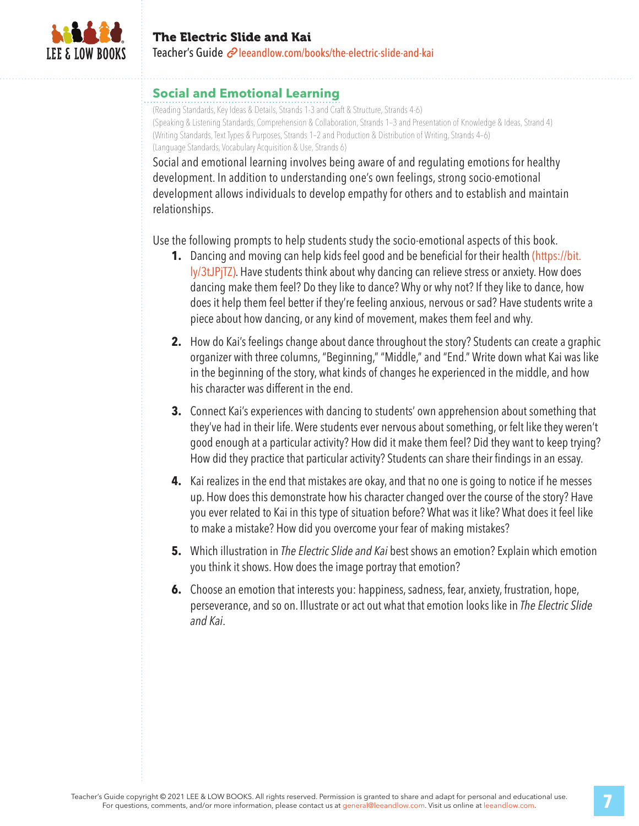

#### **Social and Emotional Learning**

(Reading Standards, Key Ideas & Details, Strands 1-3 and Craft & Structure, Strands 4-6) (Speaking & Listening Standards, Comprehension & Collaboration, Strands 1–3 and Presentation of Knowledge & Ideas, Strand 4) (Writing Standards, Text Types & Purposes, Strands 1–2 and Production & Distribution of Writing, Strands 4–6) (Language Standards, Vocabulary Acquisition & Use, Strands 6)

Social and emotional learning involves being aware of and regulating emotions for healthy development. In addition to understanding one's own feelings, strong socio-emotional development allows individuals to develop empathy for others and to establish and maintain relationships.

Use the following prompts to help students study the socio-emotional aspects of this book.

- **1.** Dancing and moving can help kids feel good and be beneficial for their health (https://bit. ly/3tJPjTZ). Have students think about why dancing can relieve stress or anxiety. How does dancing make them feel? Do they like to dance? Why or why not? If they like to dance, how does it help them feel better if they're feeling anxious, nervous or sad? Have students write a piece about how dancing, or any kind of movement, makes them feel and why.
- **2.** How do Kai's feelings change about dance throughout the story? Students can create a graphic organizer with three columns, "Beginning," "Middle," and "End." Write down what Kai was like in the beginning of the story, what kinds of changes he experienced in the middle, and how his character was different in the end.
- **3.** Connect Kai's experiences with dancing to students' own apprehension about something that they've had in their life. Were students ever nervous about something, or felt like they weren't good enough at a particular activity? How did it make them feel? Did they want to keep trying? How did they practice that particular activity? Students can share their findings in an essay.
- **4.** Kai realizes in the end that mistakes are okay, and that no one is going to notice if he messes up. How does this demonstrate how his character changed over the course of the story? Have you ever related to Kai in this type of situation before? What was it like? What does it feel like to make a mistake? How did you overcome your fear of making mistakes?
- **5.** Which illustration in *The Electric Slide and Kai* best shows an emotion? Explain which emotion you think it shows. How does the image portray that emotion?
- **6.** Choose an emotion that interests you: happiness, sadness, fear, anxiety, frustration, hope, perseverance, and so on. Illustrate or act out what that emotion looks like in *The Electric Slide and Kai*.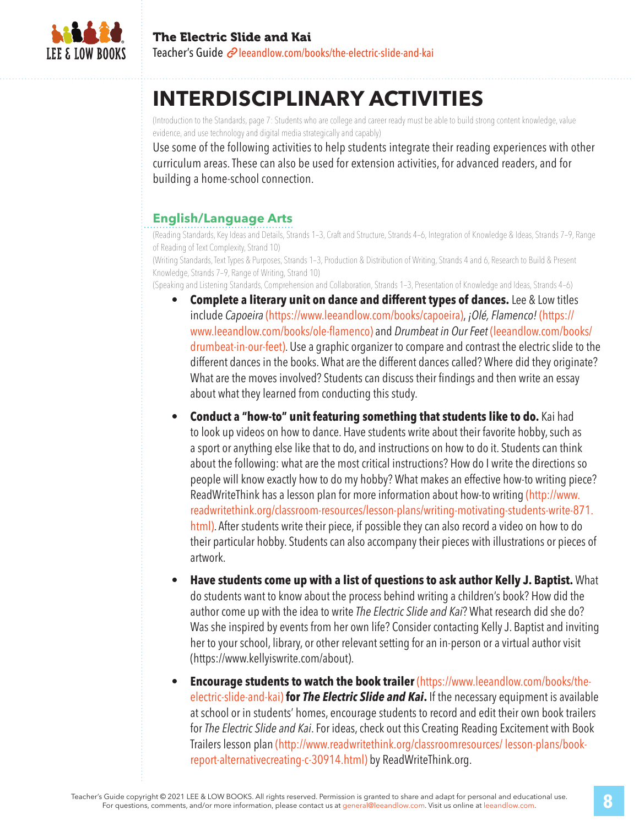

## **INTERDISCIPLINARY ACTIVITIES**

(Introduction to the Standards, page 7: Students who are college and career ready must be able to build strong content knowledge, value evidence, and use technology and digital media strategically and capably)

Use some of the following activities to help students integrate their reading experiences with other curriculum areas. These can also be used for extension activities, for advanced readers, and for building a home-school connection.

### **English/Language Arts**

(Reading Standards, Key Ideas and Details, Strands 1–3, Craft and Structure, Strands 4–6, Integration of Knowledge & Ideas, Strands 7–9, Range of Reading of Text Complexity, Strand 10)

(Writing Standards, Text Types & Purposes, Strands 1–3, Production & Distribution of Writing, Strands 4 and 6, Research to Build & Present Knowledge, Strands 7–9, Range of Writing, Strand 10)

(Speaking and Listening Standards, Comprehension and Collaboration, Strands 1–3, Presentation of Knowledge and Ideas, Strands 4–6)

- **Complete a literary unit on dance and different types of dances.** Lee & Low titles include *Capoeira* (https://www.leeandlow.com/books/capoeira), *¡Olé, Flamenco!* (https:// www.leeandlow.com/books/ole-flamenco) and *Drumbeat in Our Feet* (leeandlow.com/books/ drumbeat-in-our-feet). Use a graphic organizer to compare and contrast the electric slide to the different dances in the books. What are the different dances called? Where did they originate? What are the moves involved? Students can discuss their findings and then write an essay about what they learned from conducting this study.
- **Conduct a "how-to" unit featuring something that students like to do.** Kai had to look up videos on how to dance. Have students write about their favorite hobby, such as a sport or anything else like that to do, and instructions on how to do it. Students can think about the following: what are the most critical instructions? How do I write the directions so people will know exactly how to do my hobby? What makes an effective how-to writing piece? ReadWriteThink has a lesson plan for more information about how-to writing (http://www. readwritethink.org/classroom-resources/lesson-plans/writing-motivating-students-write-871. html). After students write their piece, if possible they can also record a video on how to do their particular hobby. Students can also accompany their pieces with illustrations or pieces of artwork.
- **Have students come up with a list of questions to ask author Kelly J. Baptist.** What do students want to know about the process behind writing a children's book? How did the author come up with the idea to write *The Electric Slide and Kai*? What research did she do? Was she inspired by events from her own life? Consider contacting Kelly J. Baptist and inviting her to your school, library, or other relevant setting for an in-person or a virtual author visit (https://www.kellyiswrite.com/about).
- **Encourage students to watch the book trailer** (https://www.leeandlow.com/books/theelectric-slide-and-kai) **for** *The Electric Slide and Kai***.** If the necessary equipment is available at school or in students' homes, encourage students to record and edit their own book trailers for *The Electric Slide and Kai*. For ideas, check out this Creating Reading Excitement with Book Trailers lesson plan (http://www.readwritethink.org/classroomresources/ lesson-plans/bookreport-alternativecreating-c-30914.html) by ReadWriteThink.org.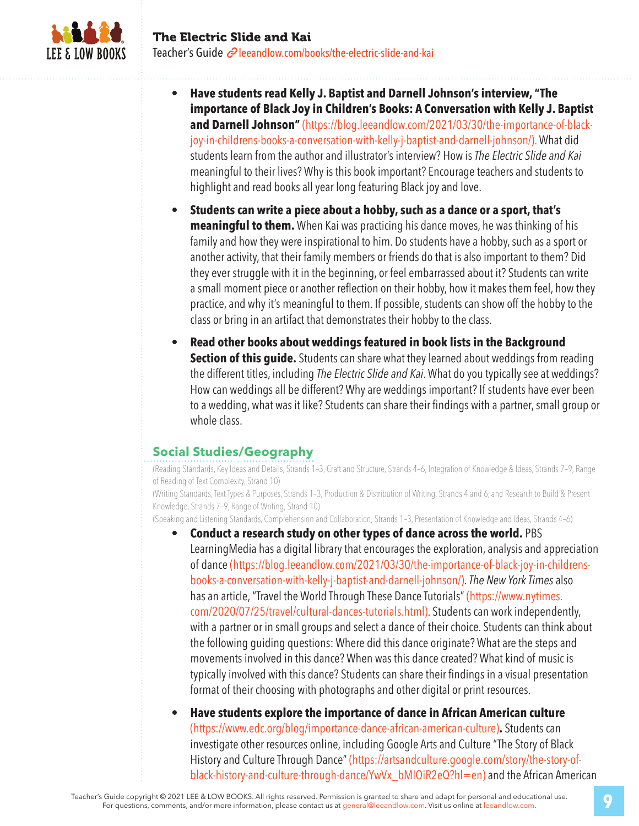

- **Have students read Kelly J. Baptist and Darnell Johnson's interview, "The importance of Black Joy in Children's Books: A Conversation with Kelly J. Baptist**  and Darnell Johnson" (https://blog.leeandlow.com/2021/03/30/the-importance-of-blackjoy-in-childrens-books-a-conversation-with-kelly-j-baptist-and-darnell-johnson/). What did students learn from the author and illustrator's interview? How is *The Electric Slide and Kai* meaningful to their lives? Why is this book important? Encourage teachers and students to highlight and read books all year long featuring Black joy and love.
- **Students can write a piece about a hobby, such as a dance or a sport, that's meaningful to them.** When Kai was practicing his dance moves, he was thinking of his family and how they were inspirational to him. Do students have a hobby, such as a sport or another activity, that their family members or friends do that is also important to them? Did they ever struggle with it in the beginning, or feel embarrassed about it? Students can write a small moment piece or another reflection on their hobby, how it makes them feel, how they practice, and why it's meaningful to them. If possible, students can show off the hobby to the class or bring in an artifact that demonstrates their hobby to the class.
- **Read other books about weddings featured in book lists in the Background Section of this guide.** Students can share what they learned about weddings from reading the different titles, including *The Electric Slide and Kai*. What do you typically see at weddings? How can weddings all be different? Why are weddings important? If students have ever been to a wedding, what was it like? Students can share their findings with a partner, small group or whole class.

#### **Social Studies/Geography**

(Reading Standards, Key Ideas and Details, Strands 1–3, Craft and Structure, Strands 4–6, Integration of Knowledge & Ideas, Strands 7–9, Range of Reading of Text Complexity, Strand 10)

(Writing Standards, Text Types & Purposes, Strands 1–3, Production & Distribution of Writing, Strands 4 and 6, and Research to Build & Present Knowledge, Strands 7–9, Range of Writing, Strand 10)

(Speaking and Listening Standards, Comprehension and Collaboration, Strands 1–3, Presentation of Knowledge and Ideas, Strands 4–6)

- **Conduct a research study on other types of dance across the world.** PBS LearningMedia has a digital library that encourages the exploration, analysis and appreciation of dance (https://blog.leeandlow.com/2021/03/30/the-importance-of-black-joy-in-childrensbooks-a-conversation-with-kelly-j-baptist-and-darnell-johnson/). *The New York Times* also has an article, "Travel the World Through These Dance Tutorials" (https://www.nytimes. com/2020/07/25/travel/cultural-dances-tutorials.html). Students can work independently, with a partner or in small groups and select a dance of their choice. Students can think about the following guiding questions: Where did this dance originate? What are the steps and movements involved in this dance? When was this dance created? What kind of music is typically involved with this dance? Students can share their findings in a visual presentation format of their choosing with photographs and other digital or print resources.
- **Have students explore the importance of dance in African American culture**  (https://www.edc.org/blog/importance-dance-african-american-culture)**.** Students can investigate other resources online, including Google Arts and Culture "The Story of Black History and Culture Through Dance" (https://artsandculture.google.com/story/the-story-ofblack-history-and-culture-through-dance/YwVx\_bMlOiR2eQ?hl=en) and the African American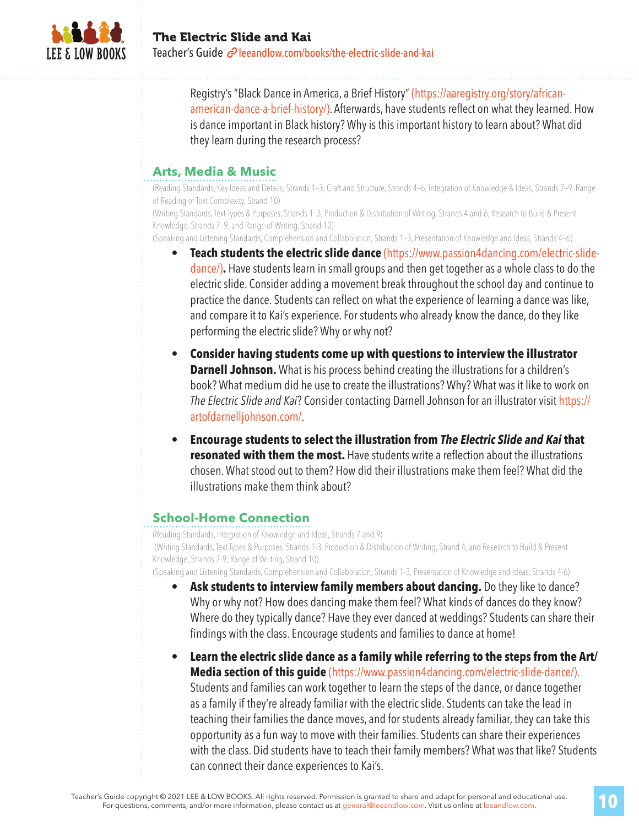

Registry's "Black Dance in America, a Brief History" (https://aaregistry.org/story/africanamerican-dance-a-brief-history/). Afterwards, have students reflect on what they learned. How is dance important in Black history? Why is this important history to learn about? What did they learn during the research process?

### **Arts, Media & Music**

(Reading Standards, Key Ideas and Details, Strands 1–3, Craft and Structure, Strands 4–6, Integration of Knowledge & Ideas, Strands 7–9, Range of Reading of Text Complexity, Strand 10)

(Writing Standards, Text Types & Purposes, Strands 1–3, Production & Distribution of Writing, Strands 4 and 6, Research to Build & Present Knowledge, Strands 7–9, and Range of Writing, Strand 10)

(Speaking and Listening Standards, Comprehension and Collaboration, Strands 1–3, Presentation of Knowledge and Ideas, Strands 4–6)

- **Teach students the electric slide dance** (https://www.passion4dancing.com/electric-slidedance/)**.** Have students learn in small groups and then get together as a whole class to do the electric slide. Consider adding a movement break throughout the school day and continue to practice the dance. Students can reflect on what the experience of learning a dance was like, and compare it to Kai's experience. For students who already know the dance, do they like performing the electric slide? Why or why not?
- **Consider having students come up with questions to interview the illustrator Darnell Johnson.** What is his process behind creating the illustrations for a children's book? What medium did he use to create the illustrations? Why? What was it like to work on *The Electric Slide and Kai*? Consider contacting Darnell Johnson for an illustrator visit https:// artofdarnelljohnson.com/.
- **Encourage students to select the illustration from** *The Electric Slide and Kai* **that resonated with them the most.** Have students write a reflection about the illustrations chosen. What stood out to them? How did their illustrations make them feel? What did the illustrations make them think about?

#### **School-Home Connection**

(Reading Standards, Integration of Knowledge and Ideas, Strands 7 and 9) (Writing Standards, Text Types & Purposes, Strands 1-3, Production & Distribution of Writing, Strand 4, and Research to Build & Present Knowledge, Strands 7-9, Range of Writing, Strand 10) (Speaking and Listening Standards, Comprehension and Collaboration, Strands 1-3, Presentation of Knowledge and Ideas, Strands 4-6)

- **Ask students to interview family members about dancing.** Do they like to dance? Why or why not? How does dancing make them feel? What kinds of dances do they know? Where do they typically dance? Have they ever danced at weddings? Students can share their findings with the class. Encourage students and families to dance at home!
- **Learn the electric slide dance as a family while referring to the steps from the Art/ Media section of this guide** (https://www.passion4dancing.com/electric-slide-dance/). Students and families can work together to learn the steps of the dance, or dance together as a family if they're already familiar with the electric slide. Students can take the lead in teaching their families the dance moves, and for students already familiar, they can take this opportunity as a fun way to move with their families. Students can share their experiences with the class. Did students have to teach their family members? What was that like? Students can connect their dance experiences to Kai's.